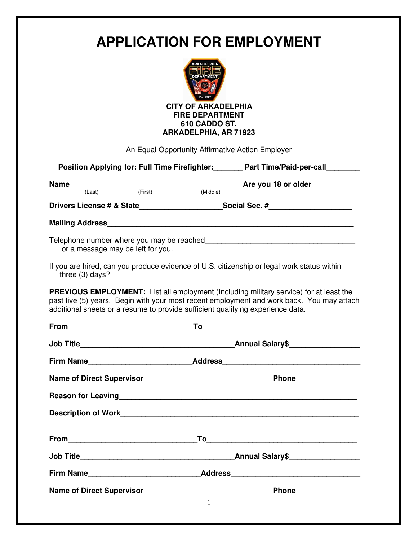| <b>APPLICATION FOR EMPLOYMENT</b><br><b>CITY OF ARKADELPHIA</b><br><b>FIRE DEPARTMENT</b><br>610 CADDO ST.<br><b>ARKADELPHIA, AR 71923</b> |                                                                                 |                                                                                                                                                                                            |  |
|--------------------------------------------------------------------------------------------------------------------------------------------|---------------------------------------------------------------------------------|--------------------------------------------------------------------------------------------------------------------------------------------------------------------------------------------|--|
|                                                                                                                                            | An Equal Opportunity Affirmative Action Employer                                |                                                                                                                                                                                            |  |
| Position Applying for: Full Time Firefighter: Part Time/Paid-per-call                                                                      |                                                                                 |                                                                                                                                                                                            |  |
|                                                                                                                                            |                                                                                 | Name $\frac{1}{(Last)}$ (Eirst) $\frac{1}{(First)}$ (Middle) Are you 18 or older                                                                                                           |  |
|                                                                                                                                            |                                                                                 | Drivers License # & State______________________Social Sec. #____________________                                                                                                           |  |
|                                                                                                                                            |                                                                                 |                                                                                                                                                                                            |  |
| or a message may be left for you.                                                                                                          |                                                                                 | If you are hired, can you produce evidence of U.S. citizenship or legal work status within                                                                                                 |  |
| three $(3)$ days?                                                                                                                          | additional sheets or a resume to provide sufficient qualifying experience data. | <b>PREVIOUS EMPLOYMENT:</b> List all employment (Including military service) for at least the<br>past five (5) years. Begin with your most recent employment and work back. You may attach |  |
| From                                                                                                                                       |                                                                                 |                                                                                                                                                                                            |  |
|                                                                                                                                            |                                                                                 |                                                                                                                                                                                            |  |
|                                                                                                                                            |                                                                                 |                                                                                                                                                                                            |  |
|                                                                                                                                            |                                                                                 |                                                                                                                                                                                            |  |
|                                                                                                                                            |                                                                                 |                                                                                                                                                                                            |  |
|                                                                                                                                            |                                                                                 |                                                                                                                                                                                            |  |
|                                                                                                                                            |                                                                                 |                                                                                                                                                                                            |  |
|                                                                                                                                            |                                                                                 |                                                                                                                                                                                            |  |
|                                                                                                                                            |                                                                                 |                                                                                                                                                                                            |  |
|                                                                                                                                            | Name of Direct Supervisor                                                       |                                                                                                                                                                                            |  |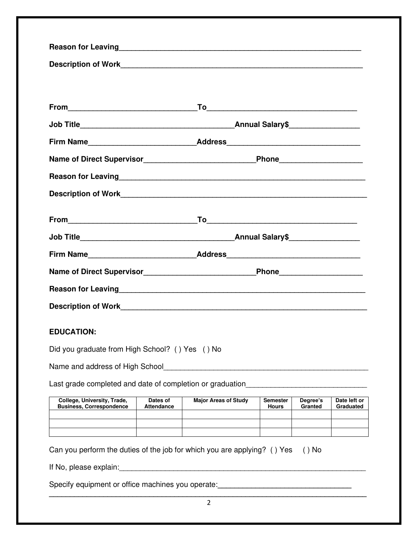| Firm Name_________________________________Address_______________________________                                                                                                                                                     |  |  |  |  |  |  |
|--------------------------------------------------------------------------------------------------------------------------------------------------------------------------------------------------------------------------------------|--|--|--|--|--|--|
| Name of Direct Supervisor___________________________________Phone_______________                                                                                                                                                     |  |  |  |  |  |  |
| Reason for Leaving <b>Executive Contract Contract Contract Contract Contract Contract Contract Contract Contract Contract Contract Contract Contract Contract Contract Contract Contract Contract Contract Contract Contract Con</b> |  |  |  |  |  |  |
|                                                                                                                                                                                                                                      |  |  |  |  |  |  |
|                                                                                                                                                                                                                                      |  |  |  |  |  |  |
|                                                                                                                                                                                                                                      |  |  |  |  |  |  |
| Firm Name__________________________________Address______________________________                                                                                                                                                     |  |  |  |  |  |  |
| Name of Direct Supervisor__________________________________Phone________________                                                                                                                                                     |  |  |  |  |  |  |
|                                                                                                                                                                                                                                      |  |  |  |  |  |  |
|                                                                                                                                                                                                                                      |  |  |  |  |  |  |
| <b>EDUCATION:</b>                                                                                                                                                                                                                    |  |  |  |  |  |  |
| Did you graduate from High School? () Yes () No                                                                                                                                                                                      |  |  |  |  |  |  |
|                                                                                                                                                                                                                                      |  |  |  |  |  |  |
| Last grade completed and date of completion or graduation_______________________                                                                                                                                                     |  |  |  |  |  |  |
| College, University, Trade,<br>Dates of<br><b>Major Areas of Study</b><br><b>Semester</b><br>Degree's<br>Date left or                                                                                                                |  |  |  |  |  |  |
| <b>Business, Correspondence</b><br><b>Attendance</b><br>Granted<br>Graduated<br>Hours                                                                                                                                                |  |  |  |  |  |  |
|                                                                                                                                                                                                                                      |  |  |  |  |  |  |
| Can you perform the duties of the job for which you are applying? () Yes<br>$()$ No                                                                                                                                                  |  |  |  |  |  |  |
|                                                                                                                                                                                                                                      |  |  |  |  |  |  |
| Specify equipment or office machines you operate: <b>Specify and the contract of the set of the set of the set of the set of the set of the set of the set of the set of the set of the set of the set of the set of the set of </b> |  |  |  |  |  |  |
|                                                                                                                                                                                                                                      |  |  |  |  |  |  |

2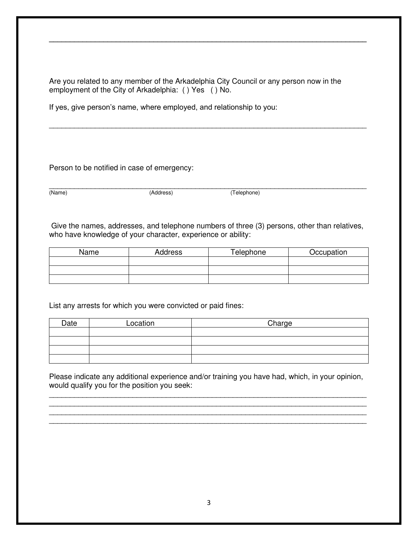Are you related to any member of the Arkadelphia City Council or any person now in the employment of the City of Arkadelphia: ( ) Yes ( ) No.

**\_\_\_\_\_\_\_\_\_\_\_\_\_\_\_\_\_\_\_\_\_\_\_\_\_\_\_\_\_\_\_\_\_\_\_\_\_\_\_\_\_\_\_\_\_\_\_\_\_\_\_\_\_\_\_\_\_\_\_\_\_\_\_\_\_\_\_\_\_\_\_\_\_\_\_\_**

\_\_\_\_\_\_\_\_\_\_\_\_\_\_\_\_\_\_\_\_\_\_\_\_\_\_\_\_\_\_\_\_\_\_\_\_\_\_\_\_\_\_\_\_\_\_\_\_\_\_\_\_\_\_\_\_\_\_\_\_\_\_\_\_\_\_\_\_\_\_\_\_\_\_\_\_

If yes, give person's name, where employed, and relationship to you:

Person to be notified in case of emergency:

\_\_\_\_\_\_\_\_\_\_\_\_\_\_\_\_\_\_\_\_\_\_\_\_\_\_\_\_\_\_\_\_\_\_\_\_\_\_\_\_\_\_\_\_\_\_\_\_\_\_\_\_\_\_\_\_\_\_\_\_\_\_\_\_\_\_\_\_\_\_\_\_\_\_\_\_ (Name) (Address) (Telephone)

 Give the names, addresses, and telephone numbers of three (3) persons, other than relatives, who have knowledge of your character, experience or ability:

| Name | Address | Telephone | Occupation |
|------|---------|-----------|------------|
|      |         |           |            |
|      |         |           |            |
|      |         |           |            |

List any arrests for which you were convicted or paid fines:

| Date | Location | Charge |
|------|----------|--------|
|      |          |        |
|      |          |        |
|      |          |        |
|      |          |        |

Please indicate any additional experience and/or training you have had, which, in your opinion, would qualify you for the position you seek:

\_\_\_\_\_\_\_\_\_\_\_\_\_\_\_\_\_\_\_\_\_\_\_\_\_\_\_\_\_\_\_\_\_\_\_\_\_\_\_\_\_\_\_\_\_\_\_\_\_\_\_\_\_\_\_\_\_\_\_\_\_\_\_\_\_\_\_\_\_\_\_\_\_\_\_\_ \_\_\_\_\_\_\_\_\_\_\_\_\_\_\_\_\_\_\_\_\_\_\_\_\_\_\_\_\_\_\_\_\_\_\_\_\_\_\_\_\_\_\_\_\_\_\_\_\_\_\_\_\_\_\_\_\_\_\_\_\_\_\_\_\_\_\_\_\_\_\_\_\_\_\_\_ \_\_\_\_\_\_\_\_\_\_\_\_\_\_\_\_\_\_\_\_\_\_\_\_\_\_\_\_\_\_\_\_\_\_\_\_\_\_\_\_\_\_\_\_\_\_\_\_\_\_\_\_\_\_\_\_\_\_\_\_\_\_\_\_\_\_\_\_\_\_\_\_\_\_\_\_ \_\_\_\_\_\_\_\_\_\_\_\_\_\_\_\_\_\_\_\_\_\_\_\_\_\_\_\_\_\_\_\_\_\_\_\_\_\_\_\_\_\_\_\_\_\_\_\_\_\_\_\_\_\_\_\_\_\_\_\_\_\_\_\_\_\_\_\_\_\_\_\_\_\_\_\_